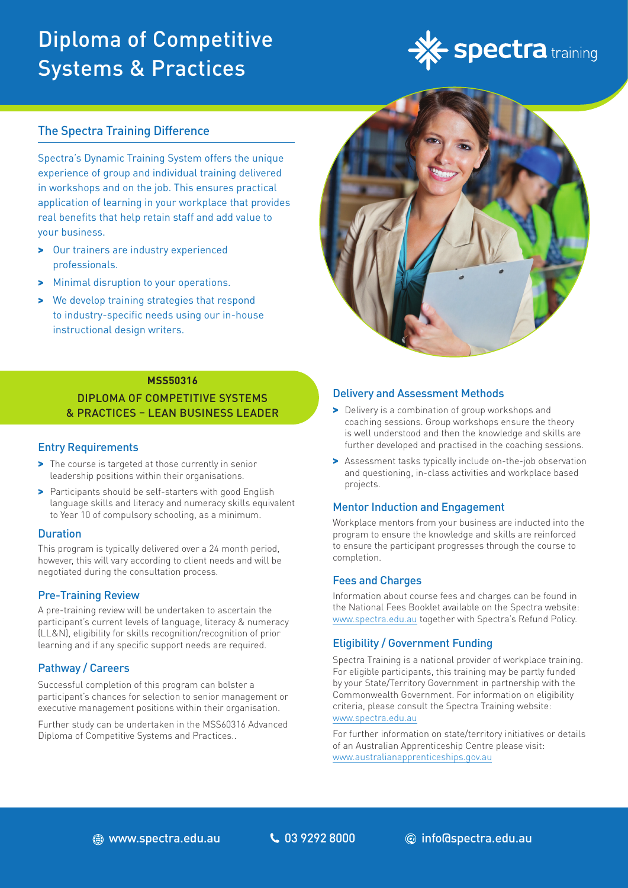# Diploma of Competitive Systems & Practices



### The Spectra Training Difference

Spectra's Dynamic Training System offers the unique experience of group and individual training delivered in workshops and on the job. This ensures practical application of learning in your workplace that provides real benefits that help retain staff and add value to your business.

- > Our trainers are industry experienced professionals.
- > Minimal disruption to your operations.
- > We develop training strategies that respond to industry-specific needs using our in-house instructional design writers.



### **MSS50316**

DIPLOMA OF COMPETITIVE SYSTEMS & PRACTICES – LEAN BUSINESS LEADER

### Entry Requirements

- > The course is targeted at those currently in senior leadership positions within their organisations.
- > Participants should be self-starters with good English language skills and literacy and numeracy skills equivalent to Year 10 of compulsory schooling, as a minimum.

### **Duration**

This program is typically delivered over a 24 month period, however, this will vary according to client needs and will be negotiated during the consultation process.

### Pre-Training Review

A pre-training review will be undertaken to ascertain the participant's current levels of language, literacy & numeracy (LL&N), eligibility for skills recognition/recognition of prior learning and if any specific support needs are required.

### Pathway / Careers

Successful completion of this program can bolster a participant's chances for selection to senior management or executive management positions within their organisation.

Further study can be undertaken in the MSS60316 Advanced Diploma of Competitive Systems and Practices..

### Delivery and Assessment Methods

- > Delivery is a combination of group workshops and coaching sessions. Group workshops ensure the theory is well understood and then the knowledge and skills are further developed and practised in the coaching sessions.
- > Assessment tasks typically include on-the-job observation and questioning, in-class activities and workplace based projects.

### Mentor Induction and Engagement

Workplace mentors from your business are inducted into the program to ensure the knowledge and skills are reinforced to ensure the participant progresses through the course to completion.

### Fees and Charges

Information about course fees and charges can be found in the National Fees Booklet available on the Spectra website: www.spectra.edu.au together with Spectra's Refund Policy.

### Eligibility / Government Funding

Spectra Training is a national provider of workplace training. For eligible participants, this training may be partly funded by your State/Territory Government in partnership with the Commonwealth Government. For information on eligibility criteria, please consult the Spectra Training website: [www.spectra.edu.au](https://www.spectra.edu.au/)

For further information on state/territory initiatives or details of an Australian Apprenticeship Centre please visit: [www.australianapprenticeships.gov.au](https://www.australianapprenticeships.gov.au/)